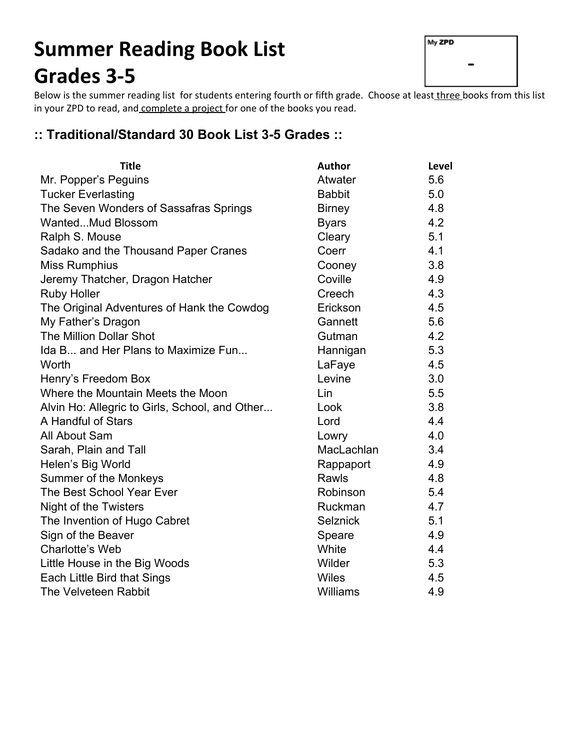# **Summer Reading Book List Grades 35**

| My ZPD |  |
|--------|--|
|        |  |
|        |  |

Below is the summer reading list for students entering fourth or fifth grade. Choose at least three books from this list in your ZPD to read, and complete a project for one of the books you read.

#### **:: Traditional/Standard 30 Book List 35 Grades ::**

| <b>Title</b>                                   | <b>Author</b>   | Level |
|------------------------------------------------|-----------------|-------|
| Mr. Popper's Peguins                           | Atwater         | 5.6   |
| <b>Tucker Everlasting</b>                      | <b>Babbit</b>   | 5.0   |
| The Seven Wonders of Sassafras Springs         | <b>Birney</b>   | 4.8   |
| WantedMud Blossom                              | <b>Byars</b>    | 4.2   |
| Ralph S. Mouse                                 | Cleary          | 5.1   |
| Sadako and the Thousand Paper Cranes           | Coerr           | 4.1   |
| <b>Miss Rumphius</b>                           | Cooney          | 3.8   |
| Jeremy Thatcher, Dragon Hatcher                | Coville         | 4.9   |
| <b>Ruby Holler</b>                             | Creech          | 4.3   |
| The Original Adventures of Hank the Cowdog     | Erickson        | 4.5   |
| My Father's Dragon                             | Gannett         | 5.6   |
| <b>The Million Dollar Shot</b>                 | Gutman          | 4.2   |
| Ida B and Her Plans to Maximize Fun            | Hannigan        | 5.3   |
| Worth                                          | LaFaye          | 4.5   |
| Henry's Freedom Box                            | Levine          | 3.0   |
| Where the Mountain Meets the Moon              | Lin             | 5.5   |
| Alvin Ho: Allegric to Girls, School, and Other | Look            | 3.8   |
| A Handful of Stars                             | Lord            | 4.4   |
| All About Sam                                  | Lowry           | 4.0   |
| Sarah, Plain and Tall                          | MacLachlan      | 3.4   |
| Helen's Big World                              | Rappaport       | 4.9   |
| Summer of the Monkeys                          | Rawls           | 4.8   |
| The Best School Year Ever                      | Robinson        | 5.4   |
| Night of the Twisters                          | Ruckman         | 4.7   |
| The Invention of Hugo Cabret                   | <b>Selznick</b> | 5.1   |
| Sign of the Beaver                             | Speare          | 4.9   |
| Charlotte's Web                                | White           | 4.4   |
| Little House in the Big Woods                  | Wilder          | 5.3   |
| Each Little Bird that Sings                    | <b>Wiles</b>    | 4.5   |
| The Velveteen Rabbit                           | <b>Williams</b> | 4.9   |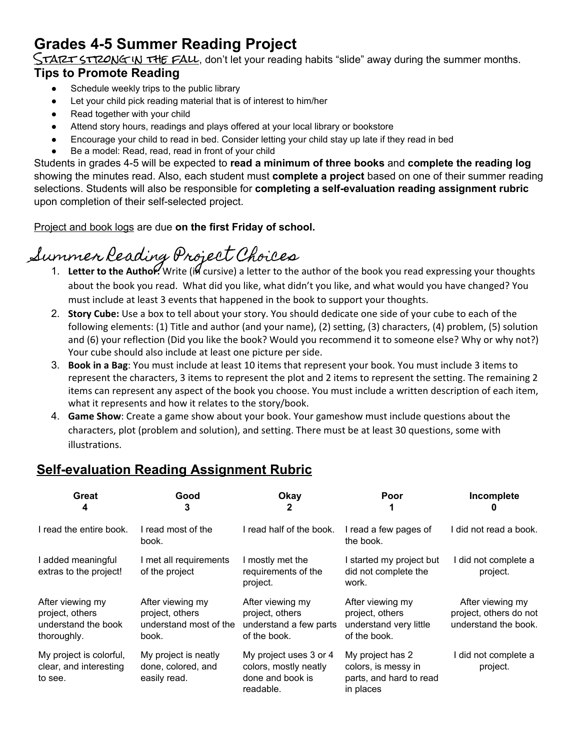## **Grades 45 Summer Reading Project**

 $\zeta$ TART STRONG IN THE FALL, don't let your reading habits "slide" away during the summer months.

#### **Tips to Promote Reading**

- Schedule weekly trips to the public library
- Let your child pick reading material that is of interest to him/her
- Read together with your child
- Attend story hours, readings and plays offered at your local library or bookstore
- Encourage your child to read in bed. Consider letting your child stay up late if they read in bed
- Be a model: Read, read, read in front of your child

Students in grades 45 will be expected to **read a minimum of three books** and **complete the reading log** showing the minutes read. Also, each student must **complete a project** based on one of their summer reading selections. Students will also be responsible for **completing a selfevaluation reading assignment rubric** upon completion of their self-selected project.

Project and book logs are due **on the first Friday of school.**

## Summer Reading Project Choices

- 1. Letter to the Authol: Write (il cursive) a letter to the author of the book you read expressing your thoughts about the book you read. What did you like, what didn't you like, and what would you have changed? You must include at least 3 events that happened in the book to support your thoughts.
- 2. **Story Cube:**Use a box to tell about your story. You should dedicate one side of your cube to each of the following elements: (1) Title and author (and your name), (2) setting, (3) characters, (4) problem, (5) solution and (6) your reflection (Did you like the book? Would you recommend it to someone else? Why or why not?) Your cube should also include at least one picture per side.
- 3. **Book in a Bag**: You must include at least 10 items that represent your book. You must include 3 items to represent the characters, 3 items to represent the plot and 2 items to represent the setting. The remaining 2 items can represent any aspect of the book you choose. You must include a written description of each item, what it represents and how it relates to the story/book.
- 4. **Game Show**: Create a game show about your book. Your gameshow must include questions about the characters, plot (problem and solution), and setting. There must be at least 30 questions, some with illustrations.

### **Self-evaluation Reading Assignment Rubric**

| Great<br>4                                                                | Good<br>3                                                              | Okay<br>2                                                                        | Poor                                                                            | Incomplete                                                         |
|---------------------------------------------------------------------------|------------------------------------------------------------------------|----------------------------------------------------------------------------------|---------------------------------------------------------------------------------|--------------------------------------------------------------------|
| I read the entire book.                                                   | I read most of the<br>book.                                            | I read half of the book.                                                         | I read a few pages of<br>the book.                                              | l did not read a book.                                             |
| I added meaningful<br>extras to the project!                              | I met all requirements<br>of the project                               | I mostly met the<br>requirements of the<br>project.                              | I started my project but<br>did not complete the<br>work.                       | I did not complete a<br>project.                                   |
| After viewing my<br>project, others<br>understand the book<br>thoroughly. | After viewing my<br>project, others<br>understand most of the<br>book. | After viewing my<br>project, others<br>understand a few parts<br>of the book.    | After viewing my<br>project, others<br>understand very little<br>of the book.   | After viewing my<br>project, others do not<br>understand the book. |
| My project is colorful,<br>clear, and interesting<br>to see.              | My project is neatly<br>done, colored, and<br>easily read.             | My project uses 3 or 4<br>colors, mostly neatly<br>done and book is<br>readable. | My project has 2<br>colors, is messy in<br>parts, and hard to read<br>in places | I did not complete a<br>project.                                   |